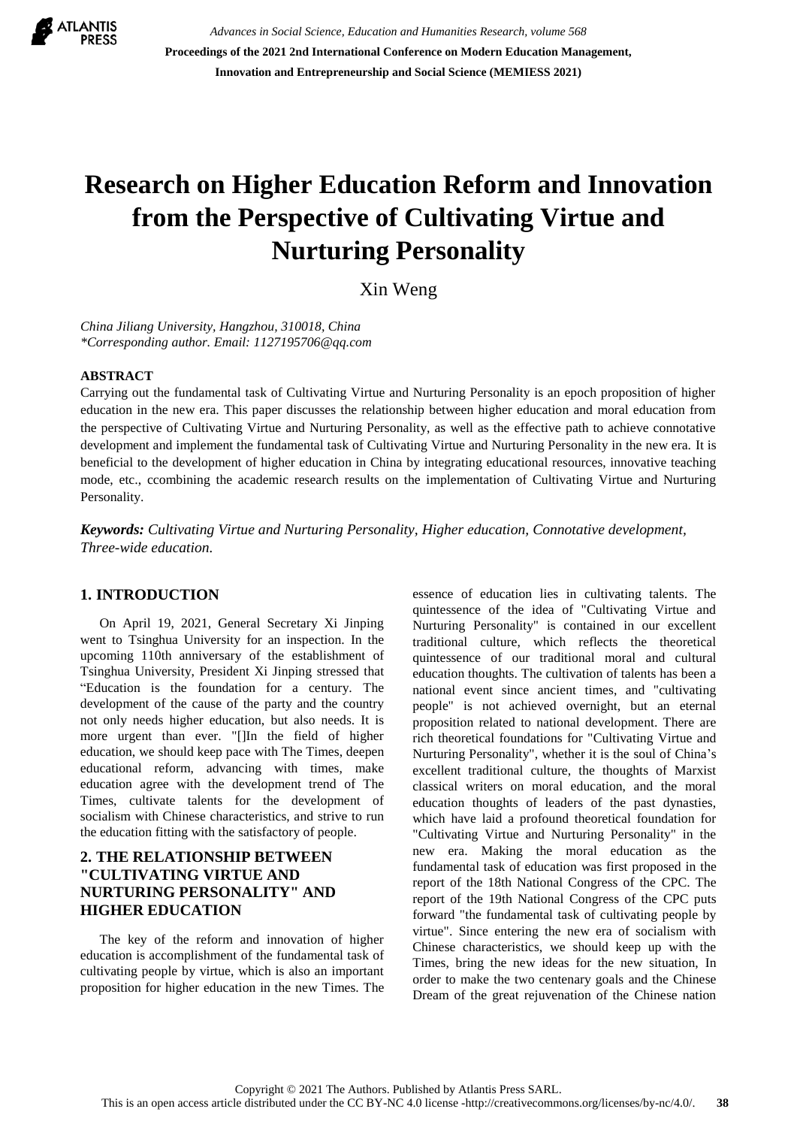

*Advances in Social Science, Education and Humanities Research, volume 568* **Proceedings of the 2021 2nd International Conference on Modern Education Management, Innovation and Entrepreneurship and Social Science (MEMIESS 2021)**

# **Research on Higher Education Reform and Innovation from the Perspective of Cultivating Virtue and Nurturing Personality**

Xin Weng

*China Jiliang University, Hangzhou, 310018, China \*Corresponding author. Email: 1127195706@qq.com*

#### **ABSTRACT**

Carrying out the fundamental task of Cultivating Virtue and Nurturing Personality is an epoch proposition of higher education in the new era. This paper discusses the relationship between higher education and moral education from the perspective of Cultivating Virtue and Nurturing Personality, as well as the effective path to achieve connotative development and implement the fundamental task of Cultivating Virtue and Nurturing Personality in the new era. It is beneficial to the development of higher education in China by integrating educational resources, innovative teaching mode, etc., ccombining the academic research results on the implementation of Cultivating Virtue and Nurturing Personality.

*Keywords: Cultivating Virtue and Nurturing Personality, Higher education, Connotative development, Three-wide education.*

#### **1. INTRODUCTION**

On April 19, 2021, General Secretary Xi Jinping went to Tsinghua University for an inspection. In the upcoming 110th anniversary of the establishment of Tsinghua University, President Xi Jinping stressed that "Education is the foundation for a century. The development of the cause of the party and the country not only needs higher education, but also needs. It is more urgent than ever. "[]In the field of higher education, we should keep pace with The Times, deepen educational reform, advancing with times, make education agree with the development trend of The Times, cultivate talents for the development of socialism with Chinese characteristics, and strive to run the education fitting with the satisfactory of people.

## **2. THE RELATIONSHIP BETWEEN "CULTIVATING VIRTUE AND NURTURING PERSONALITY" AND HIGHER EDUCATION**

The key of the reform and innovation of higher education is accomplishment of the fundamental task of cultivating people by virtue, which is also an important proposition for higher education in the new Times. The essence of education lies in cultivating talents. The quintessence of the idea of "Cultivating Virtue and Nurturing Personality" is contained in our excellent traditional culture, which reflects the theoretical quintessence of our traditional moral and cultural education thoughts. The cultivation of talents has been a national event since ancient times, and "cultivating people" is not achieved overnight, but an eternal proposition related to national development. There are rich theoretical foundations for "Cultivating Virtue and Nurturing Personality", whether it is the soul of China's excellent traditional culture, the thoughts of Marxist classical writers on moral education, and the moral education thoughts of leaders of the past dynasties, which have laid a profound theoretical foundation for "Cultivating Virtue and Nurturing Personality" in the new era. Making the moral education as the fundamental task of education was first proposed in the report of the 18th National Congress of the CPC. The report of the 19th National Congress of the CPC puts forward "the fundamental task of cultivating people by virtue". Since entering the new era of socialism with Chinese characteristics, we should keep up with the Times, bring the new ideas for the new situation, In order to make the two centenary goals and the Chinese Dream of the great rejuvenation of the Chinese nation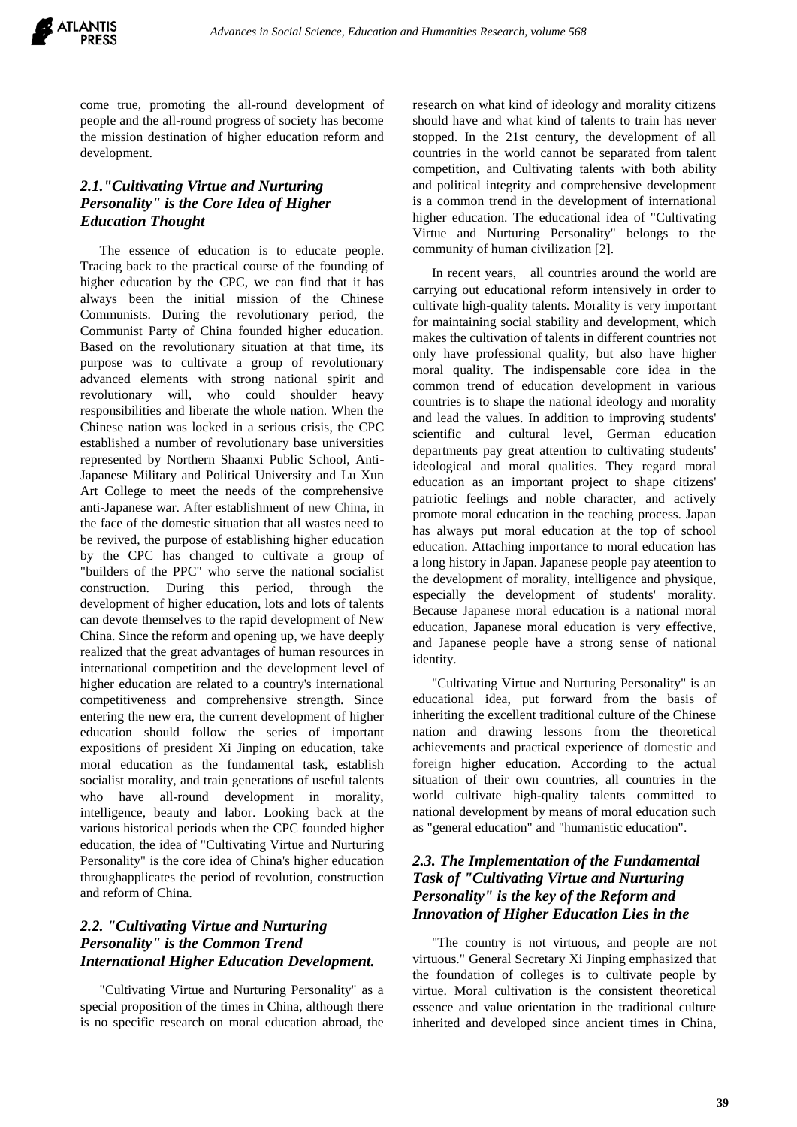come true, promoting the all-round development of people and the all-round progress of society has become the mission destination of higher education reform and development.

# *2.1."Cultivating Virtue and Nurturing Personality" is the Core Idea of Higher Education Thought*

The essence of education is to educate people. Tracing back to the practical course of the founding of higher education by the CPC, we can find that it has always been the initial mission of the Chinese Communists. During the revolutionary period, the Communist Party of China founded higher education. Based on the revolutionary situation at that time, its purpose was to cultivate a group of revolutionary advanced elements with strong national spirit and revolutionary will, who could shoulder heavy responsibilities and liberate the whole nation. When the Chinese nation was locked in a serious crisis, the CPC established a number of revolutionary base universities represented by Northern Shaanxi Public School, Anti-Japanese Military and Political University and Lu Xun Art College to meet the needs of the comprehensive anti-Japanese war. After establishment of new China, in the face of the domestic situation that all wastes need to be revived, the purpose of establishing higher education by the CPC has changed to cultivate a group of "builders of the PPC" who serve the national socialist construction. During this period, through the development of higher education, lots and lots of talents can devote themselves to the rapid development of New China. Since the reform and opening up, we have deeply realized that the great advantages of human resources in international competition and the development level of higher education are related to a country's international competitiveness and comprehensive strength. Since entering the new era, the current development of higher education should follow the series of important expositions of president Xi Jinping on education, take moral education as the fundamental task, establish socialist morality, and train generations of useful talents who have all-round development in morality, intelligence, beauty and labor. Looking back at the various historical periods when the CPC founded higher education, the idea of "Cultivating Virtue and Nurturing Personality" is the core idea of China's higher education throughapplicates the period of revolution, construction and reform of China.

#### *2.2. "Cultivating Virtue and Nurturing Personality" is the Common Trend International Higher Education Development.*

"Cultivating Virtue and Nurturing Personality" as a special proposition of the times in China, although there is no specific research on moral education abroad, the research on what kind of ideology and morality citizens should have and what kind of talents to train has never stopped. In the 21st century, the development of all countries in the world cannot be separated from talent competition, and Cultivating talents with both ability and political integrity and comprehensive development is a common trend in the development of international higher education. The educational idea of "Cultivating Virtue and Nurturing Personality" belongs to the community of human civilization [2].

In recent years, all countries around the world are carrying out educational reform intensively in order to cultivate high-quality talents. Morality is very important for maintaining social stability and development, which makes the cultivation of talents in different countries not only have professional quality, but also have higher moral quality. The indispensable core idea in the common trend of education development in various countries is to shape the national ideology and morality and lead the values. In addition to improving students' scientific and cultural level, German education departments pay great attention to cultivating students' ideological and moral qualities. They regard moral education as an important project to shape citizens' patriotic feelings and noble character, and actively promote moral education in the teaching process. Japan has always put moral education at the top of school education. Attaching importance to moral education has a long history in Japan. Japanese people pay ateention to the development of morality, intelligence and physique, especially the development of students' morality. Because Japanese moral education is a national moral education, Japanese moral education is very effective, and Japanese people have a strong sense of national identity.

"Cultivating Virtue and Nurturing Personality" is an educational idea, put forward from the basis of inheriting the excellent traditional culture of the Chinese nation and drawing lessons from the theoretical achievements and practical experience of domestic and foreign higher education. According to the actual situation of their own countries, all countries in the world cultivate high-quality talents committed to national development by means of moral education such as "general education" and "humanistic education".

## *2.3. The Implementation of the Fundamental Task of "Cultivating Virtue and Nurturing Personality" is the key of the Reform and Innovation of Higher Education Lies in the*

"The country is not virtuous, and people are not virtuous." General Secretary Xi Jinping emphasized that the foundation of colleges is to cultivate people by virtue. Moral cultivation is the consistent theoretical essence and value orientation in the traditional culture inherited and developed since ancient times in China,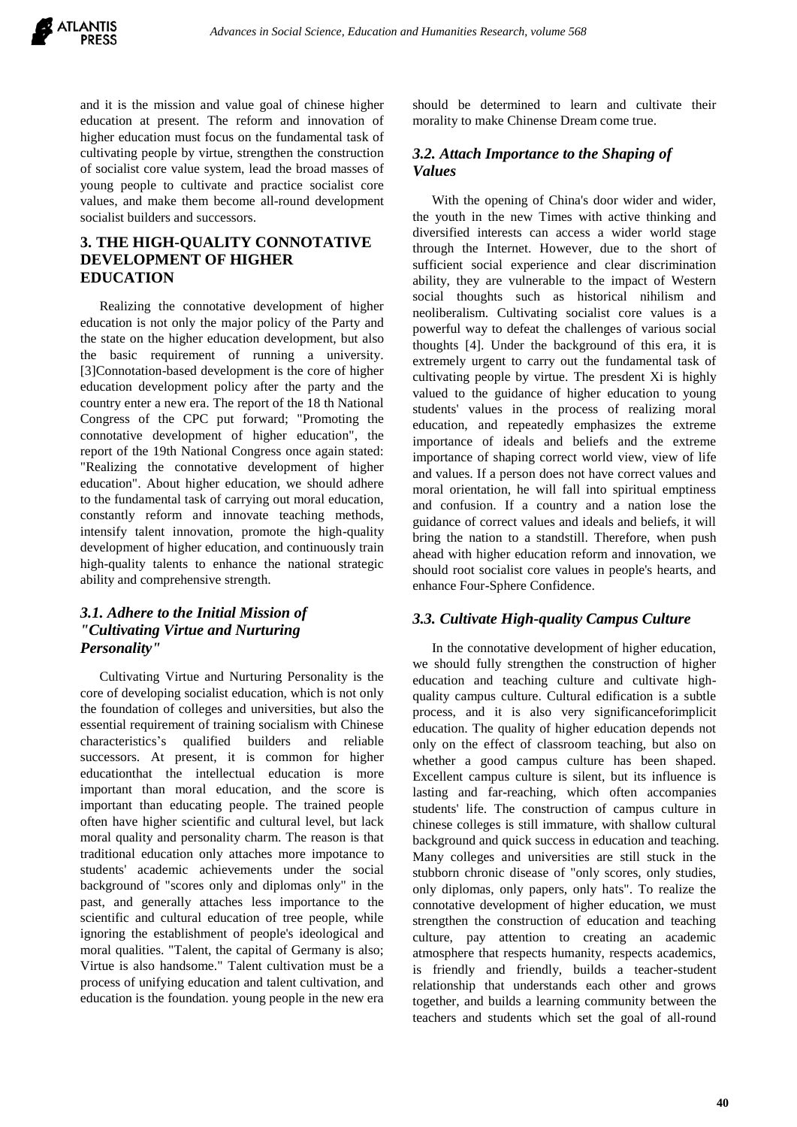

and it is the mission and value goal of chinese higher education at present. The reform and innovation of higher education must focus on the fundamental task of cultivating people by virtue, strengthen the construction of socialist core value system, lead the broad masses of young people to cultivate and practice socialist core values, and make them become all-round development socialist builders and successors.

# **3. THE HIGH-QUALITY CONNOTATIVE DEVELOPMENT OF HIGHER EDUCATION**

Realizing the connotative development of higher education is not only the major policy of the Party and the state on the higher education development, but also the basic requirement of running a university. [3]Connotation-based development is the core of higher education development policy after the party and the country enter a new era. The report of the 18 th National Congress of the CPC put forward; "Promoting the connotative development of higher education", the report of the 19th National Congress once again stated: "Realizing the connotative development of higher education". About higher education, we should adhere to the fundamental task of carrying out moral education, constantly reform and innovate teaching methods, intensify talent innovation, promote the high-quality development of higher education, and continuously train high-quality talents to enhance the national strategic ability and comprehensive strength.

## *3.1. Adhere to the Initial Mission of "Cultivating Virtue and Nurturing Personality"*

Cultivating Virtue and Nurturing Personality is the core of developing socialist education, which is not only the foundation of colleges and universities, but also the essential requirement of training socialism with Chinese characteristics's qualified builders and reliable successors. At present, it is common for higher educationthat the intellectual education is more important than moral education, and the score is important than educating people. The trained people often have higher scientific and cultural level, but lack moral quality and personality charm. The reason is that traditional education only attaches more impotance to students' academic achievements under the social background of "scores only and diplomas only" in the past, and generally attaches less importance to the scientific and cultural education of tree people, while ignoring the establishment of people's ideological and moral qualities. "Talent, the capital of Germany is also; Virtue is also handsome." Talent cultivation must be a process of unifying education and talent cultivation, and education is the foundation. young people in the new era should be determined to learn and cultivate their morality to make Chinense Dream come true.

#### *3.2. Attach Importance to the Shaping of Values*

With the opening of China's door wider and wider, the youth in the new Times with active thinking and diversified interests can access a wider world stage through the Internet. However, due to the short of sufficient social experience and clear discrimination ability, they are vulnerable to the impact of Western social thoughts such as historical nihilism and neoliberalism. Cultivating socialist core values is a powerful way to defeat the challenges of various social thoughts [4]. Under the background of this era, it is extremely urgent to carry out the fundamental task of cultivating people by virtue. The presdent Xi is highly valued to the guidance of higher education to young students' values in the process of realizing moral education, and repeatedly emphasizes the extreme importance of ideals and beliefs and the extreme importance of shaping correct world view, view of life and values. If a person does not have correct values and moral orientation, he will fall into spiritual emptiness and confusion. If a country and a nation lose the guidance of correct values and ideals and beliefs, it will bring the nation to a standstill. Therefore, when push ahead with higher education reform and innovation, we should root socialist core values in people's hearts, and enhance Four-Sphere Confidence.

#### *3.3. Cultivate High-quality Campus Culture*

In the connotative development of higher education, we should fully strengthen the construction of higher education and teaching culture and cultivate highquality campus culture. Cultural edification is a subtle process, and it is also very significanceforimplicit education. The quality of higher education depends not only on the effect of classroom teaching, but also on whether a good campus culture has been shaped. Excellent campus culture is silent, but its influence is lasting and far-reaching, which often accompanies students' life. The construction of campus culture in chinese colleges is still immature, with shallow cultural background and quick success in education and teaching. Many colleges and universities are still stuck in the stubborn chronic disease of "only scores, only studies, only diplomas, only papers, only hats". To realize the connotative development of higher education, we must strengthen the construction of education and teaching culture, pay attention to creating an academic atmosphere that respects humanity, respects academics, is friendly and friendly, builds a teacher-student relationship that understands each other and grows together, and builds a learning community between the teachers and students which set the goal of all-round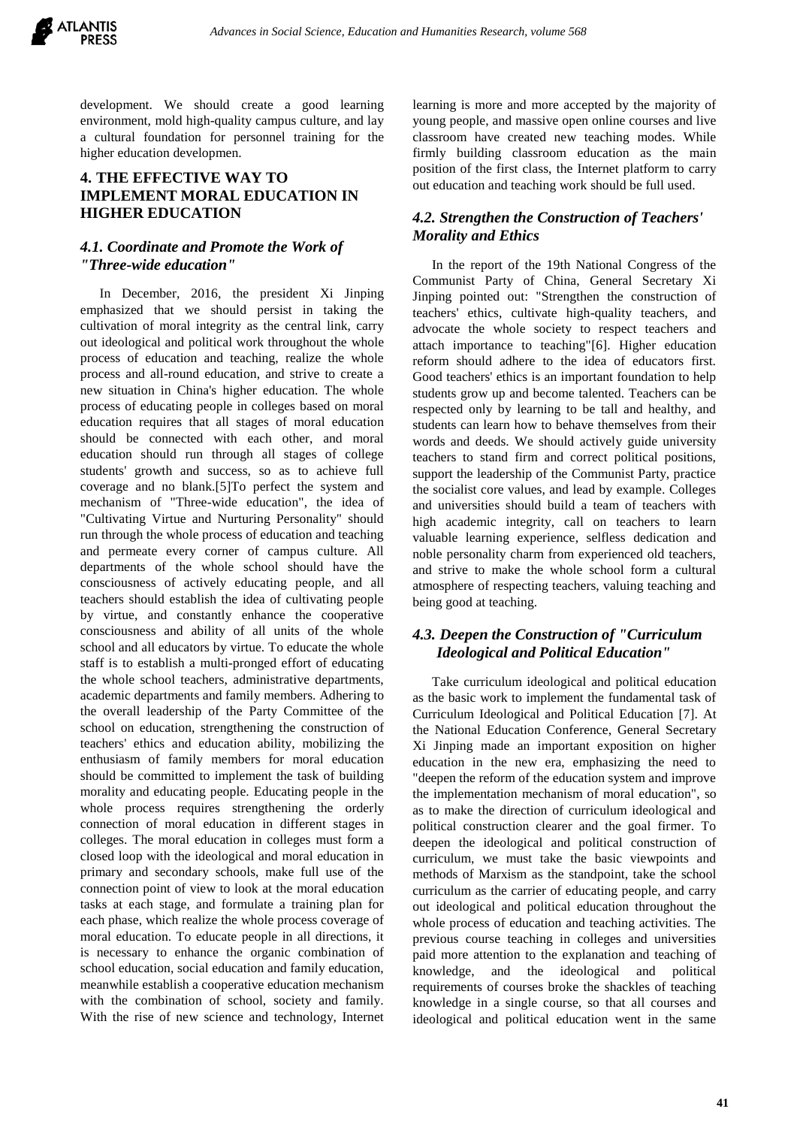

development. We should create a good learning environment, mold high-quality campus culture, and lay a cultural foundation for personnel training for the higher education developmen.

# **4. THE EFFECTIVE WAY TO IMPLEMENT MORAL EDUCATION IN HIGHER EDUCATION**

#### *4.1. Coordinate and Promote the Work of "Three-wide education"*

In December, 2016, the president Xi Jinping emphasized that we should persist in taking the cultivation of moral integrity as the central link, carry out ideological and political work throughout the whole process of education and teaching, realize the whole process and all-round education, and strive to create a new situation in China's higher education. The whole process of educating people in colleges based on moral education requires that all stages of moral education should be connected with each other, and moral education should run through all stages of college students' growth and success, so as to achieve full coverage and no blank.[5]To perfect the system and mechanism of "Three-wide education", the idea of "Cultivating Virtue and Nurturing Personality" should run through the whole process of education and teaching and permeate every corner of campus culture. All departments of the whole school should have the consciousness of actively educating people, and all teachers should establish the idea of cultivating people by virtue, and constantly enhance the cooperative consciousness and ability of all units of the whole school and all educators by virtue. To educate the whole staff is to establish a multi-pronged effort of educating the whole school teachers, administrative departments, academic departments and family members. Adhering to the overall leadership of the Party Committee of the school on education, strengthening the construction of teachers' ethics and education ability, mobilizing the enthusiasm of family members for moral education should be committed to implement the task of building morality and educating people. Educating people in the whole process requires strengthening the orderly connection of moral education in different stages in colleges. The moral education in colleges must form a closed loop with the ideological and moral education in primary and secondary schools, make full use of the connection point of view to look at the moral education tasks at each stage, and formulate a training plan for each phase, which realize the whole process coverage of moral education. To educate people in all directions, it is necessary to enhance the organic combination of school education, social education and family education, meanwhile establish a cooperative education mechanism with the combination of school, society and family. With the rise of new science and technology, Internet learning is more and more accepted by the majority of young people, and massive open online courses and live classroom have created new teaching modes. While firmly building classroom education as the main position of the first class, the Internet platform to carry out education and teaching work should be full used.

## *4.2. Strengthen the Construction of Teachers' Morality and Ethics*

In the report of the 19th National Congress of the Communist Party of China, General Secretary Xi Jinping pointed out: "Strengthen the construction of teachers' ethics, cultivate high-quality teachers, and advocate the whole society to respect teachers and attach importance to teaching"[6]. Higher education reform should adhere to the idea of educators first. Good teachers' ethics is an important foundation to help students grow up and become talented. Teachers can be respected only by learning to be tall and healthy, and students can learn how to behave themselves from their words and deeds. We should actively guide university teachers to stand firm and correct political positions, support the leadership of the Communist Party, practice the socialist core values, and lead by example. Colleges and universities should build a team of teachers with high academic integrity, call on teachers to learn valuable learning experience, selfless dedication and noble personality charm from experienced old teachers, and strive to make the whole school form a cultural atmosphere of respecting teachers, valuing teaching and being good at teaching.

# *4.3. Deepen the Construction of "Curriculum Ideological and Political Education"*

Take curriculum ideological and political education as the basic work to implement the fundamental task of Curriculum Ideological and Political Education [7]. At the National Education Conference, General Secretary Xi Jinping made an important exposition on higher education in the new era, emphasizing the need to "deepen the reform of the education system and improve the implementation mechanism of moral education", so as to make the direction of curriculum ideological and political construction clearer and the goal firmer. To deepen the ideological and political construction of curriculum, we must take the basic viewpoints and methods of Marxism as the standpoint, take the school curriculum as the carrier of educating people, and carry out ideological and political education throughout the whole process of education and teaching activities. The previous course teaching in colleges and universities paid more attention to the explanation and teaching of knowledge, and the ideological and political requirements of courses broke the shackles of teaching knowledge in a single course, so that all courses and ideological and political education went in the same